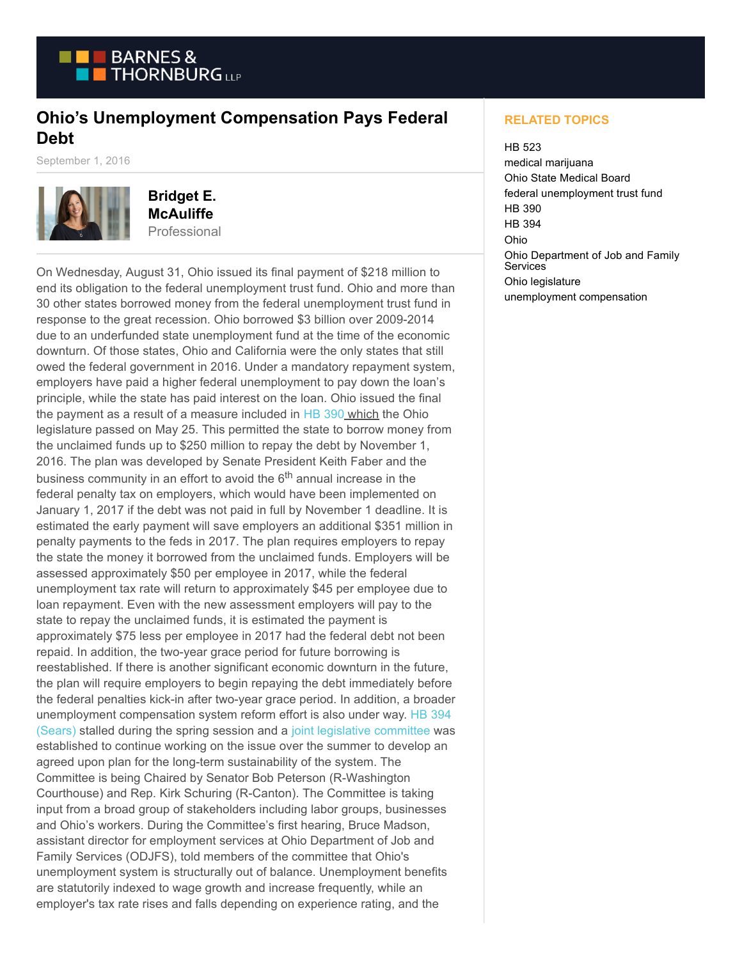

## **Ohio's Unemployment Compensation Pays Federal Debt**

September 1, 2016



**Bridget E. McAuliffe** Professional

On Wednesday, August 31, Ohio issued its final payment of \$218 million to end its obligation to the federal unemployment trust fund. Ohio and more than 30 other states borrowed money from the federal unemployment trust fund in response to the great recession. Ohio borrowed \$3 billion over 2009-2014 due to an underfunded state unemployment fund at the time of the economic downturn. Of those states, Ohio and California were the only states that still owed the federal government in 2016. Under a mandatory repayment system, employers have paid a higher federal unemployment to pay down the loan's principle, while the state has paid interest on the loan. Ohio issued the final the payment as a result of a measure included in [HB 390](https://www.legislature.ohio.gov/legislation/legislation-summary?id=GA131-HB-390) which the Ohio legislature passed on May 25. This permitted the state to borrow money from the unclaimed funds up to \$250 million to repay the debt by November 1, 2016. The plan was developed by Senate President Keith Faber and the business community in an effort to avoid the  $6<sup>th</sup>$  annual increase in the federal penalty tax on employers, which would have been implemented on January 1, 2017 if the debt was not paid in full by November 1 deadline. It is estimated the early payment will save employers an additional \$351 million in penalty payments to the feds in 2017. The plan requires employers to repay the state the money it borrowed from the unclaimed funds. Employers will be assessed approximately \$50 per employee in 2017, while the federal unemployment tax rate will return to approximately \$45 per employee due to loan repayment. Even with the new assessment employers will pay to the state to repay the unclaimed funds, it is estimated the payment is approximately \$75 less per employee in 2017 had the federal debt not been repaid. In addition, the two-year grace period for future borrowing is reestablished. If there is another significant economic downturn in the future, the plan will require employers to begin repaying the debt immediately before the federal penalties kick-in after two-year grace period. In addition, a broader unemployment compensation system reform effort is also under way. [HB 394](https://www.legislature.ohio.gov/legislation/legislation-summary?id=GA131-HB-394) (Sears) stalled during the spring session and a [joint legislative committee](http://www.ohiohouse.gov/republicans/press/ohio-senate-and-house-leaders-announce-joint-committee-on-unemployment-compensation-reform) was established to continue working on the issue over the summer to develop an agreed upon plan for the long-term sustainability of the system. The Committee is being Chaired by Senator Bob Peterson (R-Washington Courthouse) and Rep. Kirk Schuring (R-Canton). The Committee is taking input from a broad group of stakeholders including labor groups, businesses and Ohio's workers. During the Committee's first hearing, Bruce Madson, assistant director for employment services at Ohio Department of Job and Family Services (ODJFS), told members of the committee that Ohio's unemployment system is structurally out of balance. Unemployment benefits are statutorily indexed to wage growth and increase frequently, while an employer's tax rate rises and falls depending on experience rating, and the

## **RELATED TOPICS**

## HB 523

medical marijuana Ohio State Medical Board federal unemployment trust fund HB 390 HB 394 Ohio Ohio Department of Job and Family **Services** Ohio legislature unemployment compensation